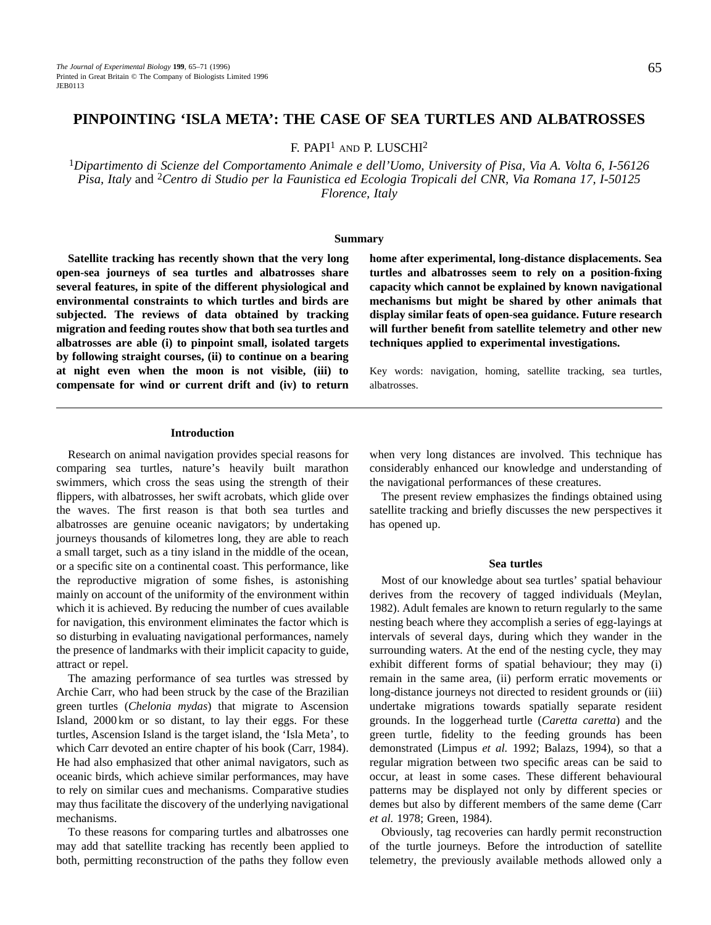# **PINPOINTING 'ISLA META': THE CASE OF SEA TURTLES AND ALBATROSSES**

F. PAPI1 AND P. LUSCHI2

<sup>1</sup>*Dipartimento di Scienze del Comportamento Animale e dell'Uomo, University of Pisa, Via A. Volta 6, I-56126 Pisa, Italy* and 2*Centro di Studio per la Faunistica ed Ecologia Tropicali del CNR, Via Romana 17, I-50125 Florence, Italy*

# **Summary**

**Satellite tracking has recently shown that the very long open-sea journeys of sea turtles and albatrosses share several features, in spite of the different physiological and environmental constraints to which turtles and birds are subjected. The reviews of data obtained by tracking migration and feeding routes show that both sea turtles and albatrosses are able (i) to pinpoint small, isolated targets by following straight courses, (ii) to continue on a bearing at night even when the moon is not visible, (iii) to compensate for wind or current drift and (iv) to return**

**home after experimental, long-distance displacements. Sea turtles and albatrosses seem to rely on a position-fixing capacity which cannot be explained by known navigational mechanisms but might be shared by other animals that display similar feats of open-sea guidance. Future research will further benefit from satellite telemetry and other new techniques applied to experimental investigations.**

Key words: navigation, homing, satellite tracking, sea turtles, albatrosses.

# **Introduction**

Research on animal navigation provides special reasons for comparing sea turtles, nature's heavily built marathon swimmers, which cross the seas using the strength of their flippers, with albatrosses, her swift acrobats, which glide over the waves. The first reason is that both sea turtles and albatrosses are genuine oceanic navigators; by undertaking journeys thousands of kilometres long, they are able to reach a small target, such as a tiny island in the middle of the ocean, or a specific site on a continental coast. This performance, like the reproductive migration of some fishes, is astonishing mainly on account of the uniformity of the environment within which it is achieved. By reducing the number of cues available for navigation, this environment eliminates the factor which is so disturbing in evaluating navigational performances, namely the presence of landmarks with their implicit capacity to guide, attract or repel.

The amazing performance of sea turtles was stressed by Archie Carr, who had been struck by the case of the Brazilian green turtles (*Chelonia mydas*) that migrate to Ascension Island, 2000 km or so distant, to lay their eggs. For these turtles, Ascension Island is the target island, the 'Isla Meta', to which Carr devoted an entire chapter of his book (Carr, 1984). He had also emphasized that other animal navigators, such as oceanic birds, which achieve similar performances, may have to rely on similar cues and mechanisms. Comparative studies may thus facilitate the discovery of the underlying navigational mechanisms.

To these reasons for comparing turtles and albatrosses one may add that satellite tracking has recently been applied to both, permitting reconstruction of the paths they follow even when very long distances are involved. This technique has considerably enhanced our knowledge and understanding of the navigational performances of these creatures.

The present review emphasizes the findings obtained using satellite tracking and briefly discusses the new perspectives it has opened up.

# **Sea turtles**

Most of our knowledge about sea turtles' spatial behaviour derives from the recovery of tagged individuals (Meylan, 1982). Adult females are known to return regularly to the same nesting beach where they accomplish a series of egg-layings at intervals of several days, during which they wander in the surrounding waters. At the end of the nesting cycle, they may exhibit different forms of spatial behaviour; they may (i) remain in the same area, (ii) perform erratic movements or long-distance journeys not directed to resident grounds or (iii) undertake migrations towards spatially separate resident grounds. In the loggerhead turtle (*Caretta caretta*) and the green turtle, fidelity to the feeding grounds has been demonstrated (Limpus *et al.* 1992; Balazs, 1994), so that a regular migration between two specific areas can be said to occur, at least in some cases. These different behavioural patterns may be displayed not only by different species or demes but also by different members of the same deme (Carr *et al.* 1978; Green, 1984).

Obviously, tag recoveries can hardly permit reconstruction of the turtle journeys. Before the introduction of satellite telemetry, the previously available methods allowed only a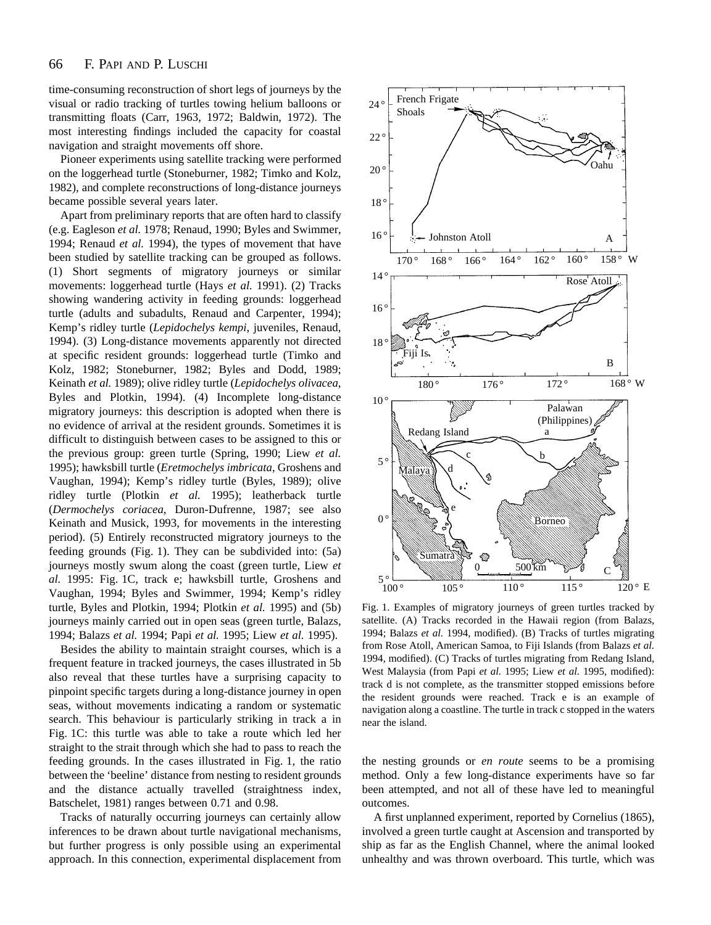time-consuming reconstruction of short legs of journeys by the visual or radio tracking of turtles towing helium balloons or transmitting floats (Carr, 1963, 1972; Baldwin, 1972). The most interesting findings included the capacity for coastal navigation and straight movements off shore.

Pioneer experiments using satellite tracking were performed on the loggerhead turtle (Stoneburner, 1982; Timko and Kolz, 1982), and complete reconstructions of long-distance journeys became possible several years later.

Apart from preliminary reports that are often hard to classify (e.g. Eagleson *et al.* 1978; Renaud, 1990; Byles and Swimmer, 1994; Renaud *et al.* 1994), the types of movement that have been studied by satellite tracking can be grouped as follows. (1) Short segments of migratory journeys or similar movements: loggerhead turtle (Hays *et al.* 1991). (2) Tracks showing wandering activity in feeding grounds: loggerhead turtle (adults and subadults, Renaud and Carpenter, 1994); Kemp's ridley turtle (*Lepidochelys kempi*, juveniles, Renaud, 1994). (3) Long-distance movements apparently not directed at specific resident grounds: loggerhead turtle (Timko and Kolz, 1982; Stoneburner, 1982; Byles and Dodd, 1989; Keinath *et al.* 1989); olive ridley turtle (*Lepidochelys olivacea*, Byles and Plotkin, 1994). (4) Incomplete long-distance migratory journeys: this description is adopted when there is no evidence of arrival at the resident grounds. Sometimes it is difficult to distinguish between cases to be assigned to this or the previous group: green turtle (Spring, 1990; Liew *et al.* 1995); hawksbill turtle (*Eretmochelys imbricata*, Groshens and Vaughan, 1994); Kemp's ridley turtle (Byles, 1989); olive ridley turtle (Plotkin *et al.* 1995); leatherback turtle (*Dermochelys coriacea*, Duron-Dufrenne, 1987; see also Keinath and Musick, 1993, for movements in the interesting period). (5) Entirely reconstructed migratory journeys to the feeding grounds (Fig. 1). They can be subdivided into: (5a) journeys mostly swum along the coast (green turtle, Liew *et al.* 1995: Fig. 1C, track e; hawksbill turtle, Groshens and Vaughan, 1994; Byles and Swimmer, 1994; Kemp's ridley turtle, Byles and Plotkin, 1994; Plotkin *et al.* 1995) and (5b) journeys mainly carried out in open seas (green turtle, Balazs, 1994; Balazs *et al.* 1994; Papi *et al.* 1995; Liew *et al.* 1995).

Besides the ability to maintain straight courses, which is a frequent feature in tracked journeys, the cases illustrated in 5b also reveal that these turtles have a surprising capacity to pinpoint specific targets during a long-distance journey in open seas, without movements indicating a random or systematic search. This behaviour is particularly striking in track a in Fig. 1C: this turtle was able to take a route which led her straight to the strait through which she had to pass to reach the feeding grounds. In the cases illustrated in Fig. 1, the ratio between the 'beeline' distance from nesting to resident grounds and the distance actually travelled (straightness index, Batschelet, 1981) ranges between 0.71 and 0.98.

Tracks of naturally occurring journeys can certainly allow inferences to be drawn about turtle navigational mechanisms, but further progress is only possible using an experimental approach. In this connection, experimental displacement from



Fig. 1. Examples of migratory journeys of green turtles tracked by satellite. (A) Tracks recorded in the Hawaii region (from Balazs, 1994; Balazs *et al.* 1994, modified). (B) Tracks of turtles migrating from Rose Atoll, American Samoa, to Fiji Islands (from Balazs *et al.* 1994, modified). (C) Tracks of turtles migrating from Redang Island, West Malaysia (from Papi *et al.* 1995; Liew *et al.* 1995, modified): track d is not complete, as the transmitter stopped emissions before the resident grounds were reached. Track e is an example of navigation along a coastline. The turtle in track c stopped in the waters near the island.

the nesting grounds or *en route* seems to be a promising method. Only a few long-distance experiments have so far been attempted, and not all of these have led to meaningful outcomes.

A first unplanned experiment, reported by Cornelius (1865), involved a green turtle caught at Ascension and transported by ship as far as the English Channel, where the animal looked unhealthy and was thrown overboard. This turtle, which was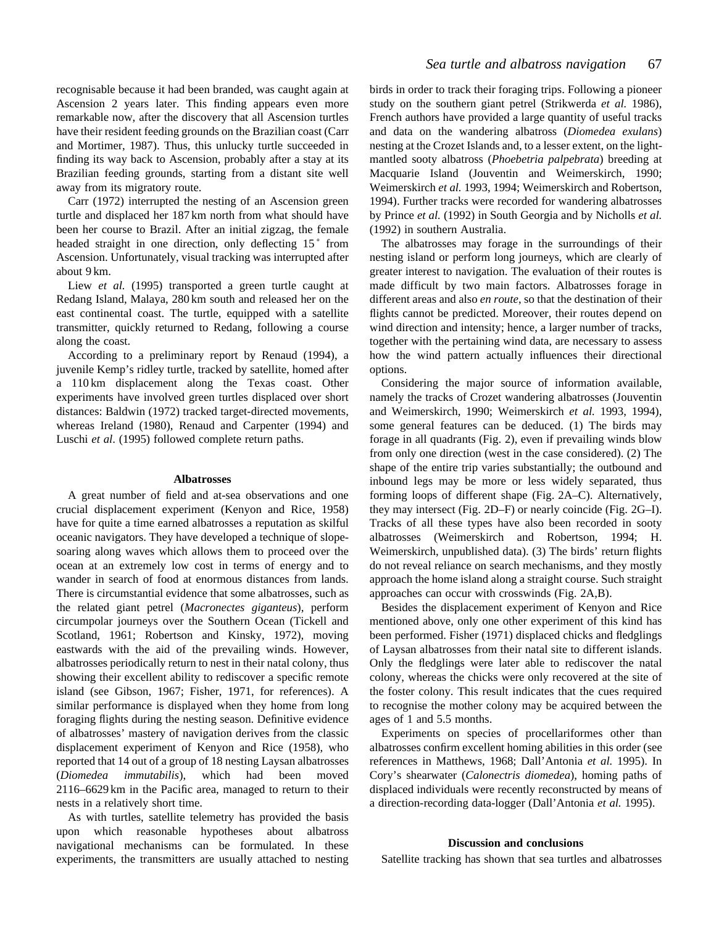recognisable because it had been branded, was caught again at Ascension 2 years later. This finding appears even more remarkable now, after the discovery that all Ascension turtles have their resident feeding grounds on the Brazilian coast (Carr and Mortimer, 1987). Thus, this unlucky turtle succeeded in finding its way back to Ascension, probably after a stay at its Brazilian feeding grounds, starting from a distant site well away from its migratory route.

Carr (1972) interrupted the nesting of an Ascension green turtle and displaced her 187 km north from what should have been her course to Brazil. After an initial zigzag, the female headed straight in one direction, only deflecting 15<sup>°</sup> from Ascension. Unfortunately, visual tracking was interrupted after about 9 km.

Liew *et al.* (1995) transported a green turtle caught at Redang Island, Malaya, 280 km south and released her on the east continental coast. The turtle, equipped with a satellite transmitter, quickly returned to Redang, following a course along the coast.

According to a preliminary report by Renaud (1994), a juvenile Kemp's ridley turtle, tracked by satellite, homed after a 110 km displacement along the Texas coast. Other experiments have involved green turtles displaced over short distances: Baldwin (1972) tracked target-directed movements, whereas Ireland (1980), Renaud and Carpenter (1994) and Luschi *et al*. (1995) followed complete return paths.

# **Albatrosses**

A great number of field and at-sea observations and one crucial displacement experiment (Kenyon and Rice, 1958) have for quite a time earned albatrosses a reputation as skilful oceanic navigators. They have developed a technique of slopesoaring along waves which allows them to proceed over the ocean at an extremely low cost in terms of energy and to wander in search of food at enormous distances from lands. There is circumstantial evidence that some albatrosses, such as the related giant petrel (*Macronectes giganteus*), perform circumpolar journeys over the Southern Ocean (Tickell and Scotland, 1961; Robertson and Kinsky, 1972), moving eastwards with the aid of the prevailing winds. However, albatrosses periodically return to nest in their natal colony, thus showing their excellent ability to rediscover a specific remote island (see Gibson, 1967; Fisher, 1971, for references). A similar performance is displayed when they home from long foraging flights during the nesting season. Definitive evidence of albatrosses' mastery of navigation derives from the classic displacement experiment of Kenyon and Rice (1958), who reported that 14 out of a group of 18 nesting Laysan albatrosses (*Diomedea immutabilis*), which had been moved 2116–6629 km in the Pacific area, managed to return to their nests in a relatively short time.

As with turtles, satellite telemetry has provided the basis upon which reasonable hypotheses about albatross navigational mechanisms can be formulated. In these experiments, the transmitters are usually attached to nesting birds in order to track their foraging trips. Following a pioneer study on the southern giant petrel (Strikwerda *et al.* 1986), French authors have provided a large quantity of useful tracks and data on the wandering albatross (*Diomedea exulans*) nesting at the Crozet Islands and, to a lesser extent, on the lightmantled sooty albatross (*Phoebetria palpebrata*) breeding at Macquarie Island (Jouventin and Weimerskirch, 1990; Weimerskirch *et al.* 1993, 1994; Weimerskirch and Robertson, 1994). Further tracks were recorded for wandering albatrosses by Prince *et al.* (1992) in South Georgia and by Nicholls *et al.* (1992) in southern Australia.

The albatrosses may forage in the surroundings of their nesting island or perform long journeys, which are clearly of greater interest to navigation. The evaluation of their routes is made difficult by two main factors. Albatrosses forage in different areas and also *en route*, so that the destination of their flights cannot be predicted. Moreover, their routes depend on wind direction and intensity; hence, a larger number of tracks, together with the pertaining wind data, are necessary to assess how the wind pattern actually influences their directional options.

Considering the major source of information available, namely the tracks of Crozet wandering albatrosses (Jouventin and Weimerskirch, 1990; Weimerskirch *et al.* 1993, 1994), some general features can be deduced. (1) The birds may forage in all quadrants (Fig. 2), even if prevailing winds blow from only one direction (west in the case considered). (2) The shape of the entire trip varies substantially; the outbound and inbound legs may be more or less widely separated, thus forming loops of different shape (Fig. 2A–C). Alternatively, they may intersect (Fig. 2D–F) or nearly coincide (Fig. 2G–I). Tracks of all these types have also been recorded in sooty albatrosses (Weimerskirch and Robertson, 1994; H. Weimerskirch, unpublished data). (3) The birds' return flights do not reveal reliance on search mechanisms, and they mostly approach the home island along a straight course. Such straight approaches can occur with crosswinds (Fig. 2A,B).

Besides the displacement experiment of Kenyon and Rice mentioned above, only one other experiment of this kind has been performed. Fisher (1971) displaced chicks and fledglings of Laysan albatrosses from their natal site to different islands. Only the fledglings were later able to rediscover the natal colony, whereas the chicks were only recovered at the site of the foster colony. This result indicates that the cues required to recognise the mother colony may be acquired between the ages of 1 and 5.5 months.

Experiments on species of procellariformes other than albatrosses confirm excellent homing abilities in this order (see references in Matthews, 1968; Dall'Antonia *et al.* 1995). In Cory's shearwater (*Calonectris diomedea*), homing paths of displaced individuals were recently reconstructed by means of a direction-recording data-logger (Dall'Antonia *et al.* 1995).

# **Discussion and conclusions**

Satellite tracking has shown that sea turtles and albatrosses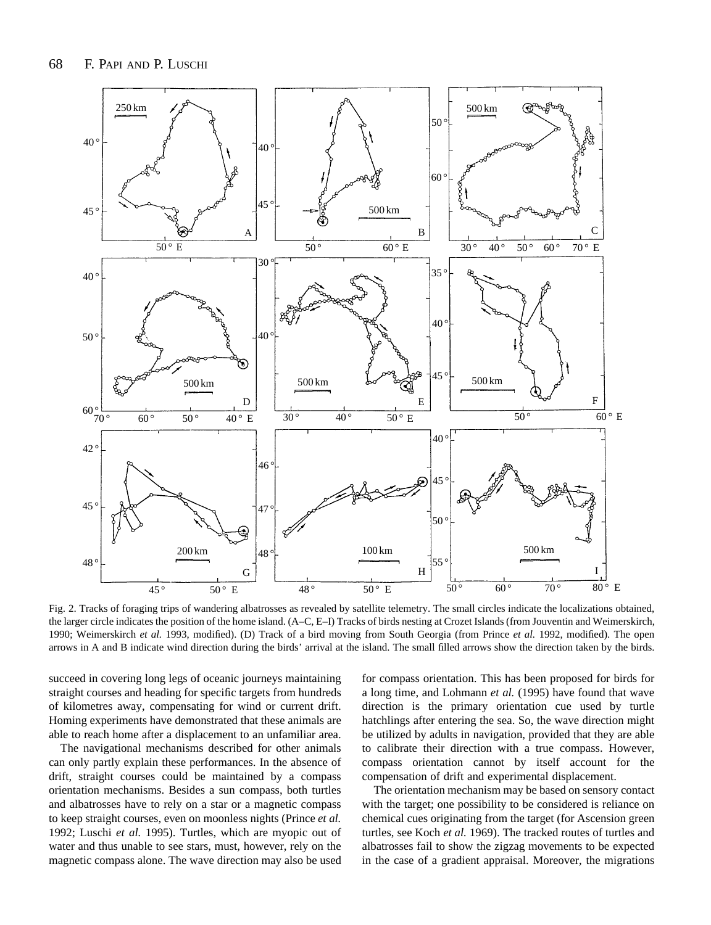

Fig. 2. Tracks of foraging trips of wandering albatrosses as revealed by satellite telemetry. The small circles indicate the localizations obtained, the larger circle indicates the position of the home island. (A–C, E–I) Tracks of birds nesting at Crozet Islands (from Jouventin and Weimerskirch, 1990; Weimerskirch *et al.* 1993, modified). (D) Track of a bird moving from South Georgia (from Prince *et al.* 1992, modified). The open arrows in A and B indicate wind direction during the birds' arrival at the island. The small filled arrows show the direction taken by the birds.

succeed in covering long legs of oceanic journeys maintaining straight courses and heading for specific targets from hundreds of kilometres away, compensating for wind or current drift. Homing experiments have demonstrated that these animals are able to reach home after a displacement to an unfamiliar area.

The navigational mechanisms described for other animals can only partly explain these performances. In the absence of drift, straight courses could be maintained by a compass orientation mechanisms. Besides a sun compass, both turtles and albatrosses have to rely on a star or a magnetic compass to keep straight courses, even on moonless nights (Prince *et al.* 1992; Luschi *et al.* 1995). Turtles, which are myopic out of water and thus unable to see stars, must, however, rely on the magnetic compass alone. The wave direction may also be used

for compass orientation. This has been proposed for birds for a long time, and Lohmann *et al.* (1995) have found that wave direction is the primary orientation cue used by turtle hatchlings after entering the sea. So, the wave direction might be utilized by adults in navigation, provided that they are able to calibrate their direction with a true compass. However, compass orientation cannot by itself account for the compensation of drift and experimental displacement.

The orientation mechanism may be based on sensory contact with the target; one possibility to be considered is reliance on chemical cues originating from the target (for Ascension green turtles, see Koch *et al.* 1969). The tracked routes of turtles and albatrosses fail to show the zigzag movements to be expected in the case of a gradient appraisal. Moreover, the migrations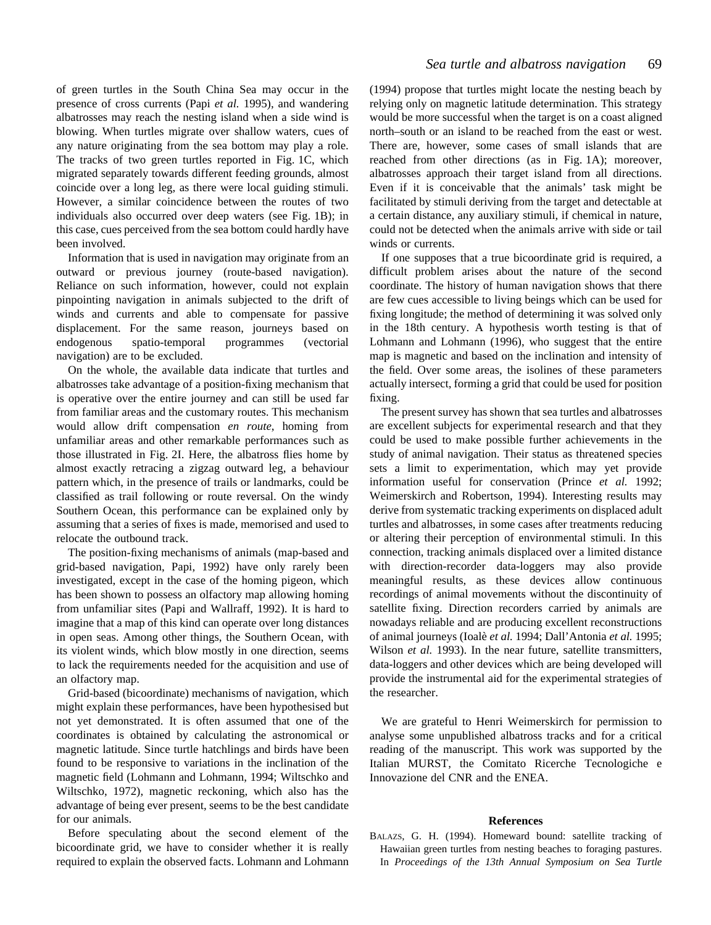of green turtles in the South China Sea may occur in the presence of cross currents (Papi *et al.* 1995), and wandering albatrosses may reach the nesting island when a side wind is blowing. When turtles migrate over shallow waters, cues of any nature originating from the sea bottom may play a role. The tracks of two green turtles reported in Fig. 1C, which migrated separately towards different feeding grounds, almost coincide over a long leg, as there were local guiding stimuli. However, a similar coincidence between the routes of two individuals also occurred over deep waters (see Fig. 1B); in this case, cues perceived from the sea bottom could hardly have been involved.

Information that is used in navigation may originate from an outward or previous journey (route-based navigation). Reliance on such information, however, could not explain pinpointing navigation in animals subjected to the drift of winds and currents and able to compensate for passive displacement. For the same reason, journeys based on endogenous spatio-temporal programmes (vectorial navigation) are to be excluded.

On the whole, the available data indicate that turtles and albatrosses take advantage of a position-fixing mechanism that is operative over the entire journey and can still be used far from familiar areas and the customary routes. This mechanism would allow drift compensation *en route*, homing from unfamiliar areas and other remarkable performances such as those illustrated in Fig. 2I. Here, the albatross flies home by almost exactly retracing a zigzag outward leg, a behaviour pattern which, in the presence of trails or landmarks, could be classified as trail following or route reversal. On the windy Southern Ocean, this performance can be explained only by assuming that a series of fixes is made, memorised and used to relocate the outbound track.

The position-fixing mechanisms of animals (map-based and grid-based navigation, Papi, 1992) have only rarely been investigated, except in the case of the homing pigeon, which has been shown to possess an olfactory map allowing homing from unfamiliar sites (Papi and Wallraff, 1992). It is hard to imagine that a map of this kind can operate over long distances in open seas. Among other things, the Southern Ocean, with its violent winds, which blow mostly in one direction, seems to lack the requirements needed for the acquisition and use of an olfactory map.

Grid-based (bicoordinate) mechanisms of navigation, which might explain these performances, have been hypothesised but not yet demonstrated. It is often assumed that one of the coordinates is obtained by calculating the astronomical or magnetic latitude. Since turtle hatchlings and birds have been found to be responsive to variations in the inclination of the magnetic field (Lohmann and Lohmann, 1994; Wiltschko and Wiltschko, 1972), magnetic reckoning, which also has the advantage of being ever present, seems to be the best candidate for our animals.

Before speculating about the second element of the bicoordinate grid, we have to consider whether it is really required to explain the observed facts. Lohmann and Lohmann (1994) propose that turtles might locate the nesting beach by relying only on magnetic latitude determination. This strategy would be more successful when the target is on a coast aligned north–south or an island to be reached from the east or west. There are, however, some cases of small islands that are reached from other directions (as in Fig. 1A); moreover, albatrosses approach their target island from all directions. Even if it is conceivable that the animals' task might be facilitated by stimuli deriving from the target and detectable at a certain distance, any auxiliary stimuli, if chemical in nature, could not be detected when the animals arrive with side or tail winds or currents.

If one supposes that a true bicoordinate grid is required, a difficult problem arises about the nature of the second coordinate. The history of human navigation shows that there are few cues accessible to living beings which can be used for fixing longitude; the method of determining it was solved only in the 18th century. A hypothesis worth testing is that of Lohmann and Lohmann (1996), who suggest that the entire map is magnetic and based on the inclination and intensity of the field. Over some areas, the isolines of these parameters actually intersect, forming a grid that could be used for position fixing.

The present survey has shown that sea turtles and albatrosses are excellent subjects for experimental research and that they could be used to make possible further achievements in the study of animal navigation. Their status as threatened species sets a limit to experimentation, which may yet provide information useful for conservation (Prince *et al.* 1992; Weimerskirch and Robertson, 1994). Interesting results may derive from systematic tracking experiments on displaced adult turtles and albatrosses, in some cases after treatments reducing or altering their perception of environmental stimuli. In this connection, tracking animals displaced over a limited distance with direction-recorder data-loggers may also provide meaningful results, as these devices allow continuous recordings of animal movements without the discontinuity of satellite fixing. Direction recorders carried by animals are nowadays reliable and are producing excellent reconstructions of animal journeys (Ioalè *et al.* 1994; Dall'Antonia *et al.* 1995; Wilson *et al.* 1993). In the near future, satellite transmitters, data-loggers and other devices which are being developed will provide the instrumental aid for the experimental strategies of the researcher.

We are grateful to Henri Weimerskirch for permission to analyse some unpublished albatross tracks and for a critical reading of the manuscript. This work was supported by the Italian MURST, the Comitato Ricerche Tecnologiche e Innovazione del CNR and the ENEA.

# **References**

BALAZS, G. H. (1994). Homeward bound: satellite tracking of Hawaiian green turtles from nesting beaches to foraging pastures. In *Proceedings of the 13th Annual Symposium on Sea Turtle*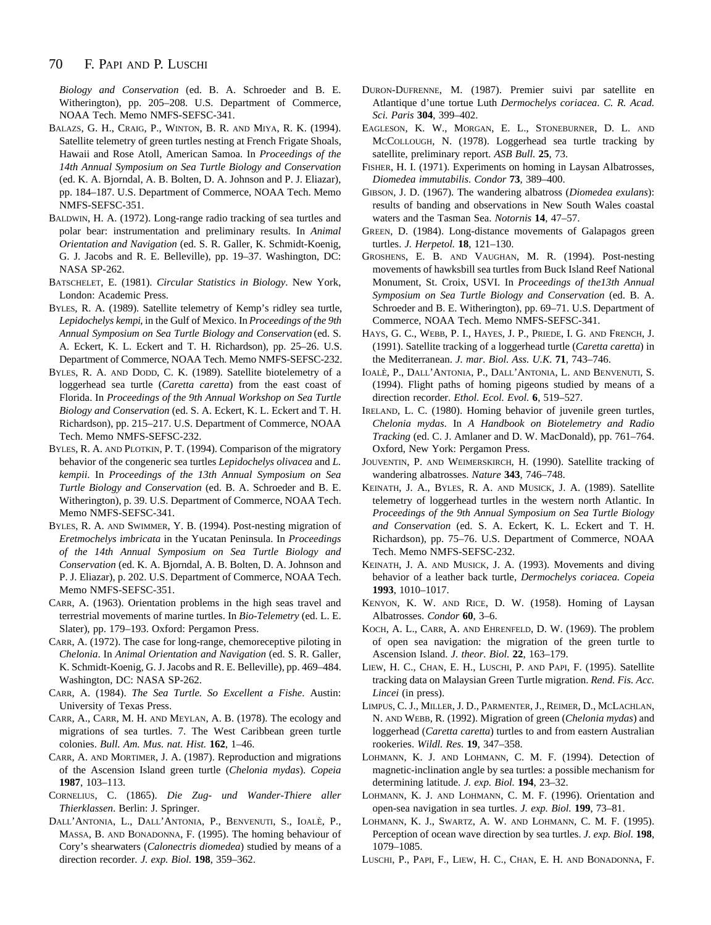#### 70 F. PAPI AND P. LUSCHI

*Biology and Conservation* (ed. B. A. Schroeder and B. E. Witherington), pp. 205–208. U.S. Department of Commerce, NOAA Tech. Memo NMFS-SEFSC-341.

- BALAZS, G. H., CRAIG, P., WINTON, B. R. AND MIYA, R. K. (1994). Satellite telemetry of green turtles nesting at French Frigate Shoals, Hawaii and Rose Atoll, American Samoa. In *Proceedings of the 14th Annual Symposium on Sea Turtle Biology and Conservation* (ed. K. A. Bjorndal, A. B. Bolten, D. A. Johnson and P. J. Eliazar), pp. 184–187. U.S. Department of Commerce, NOAA Tech. Memo NMFS-SEFSC-351.
- BALDWIN, H. A. (1972). Long-range radio tracking of sea turtles and polar bear: instrumentation and preliminary results. In *Animal Orientation and Navigation* (ed. S. R. Galler, K. Schmidt-Koenig, G. J. Jacobs and R. E. Belleville), pp. 19–37. Washington, DC: NASA SP-262.
- BATSCHELET, E. (1981). *Circular Statistics in Biology*. New York, London: Academic Press.
- BYLES, R. A. (1989). Satellite telemetry of Kemp's ridley sea turtle, *Lepidochelys kempi*, in the Gulf of Mexico. In *Proceedings of the 9th Annual Symposium on Sea Turtle Biology and Conservation* (ed. S. A. Eckert, K. L. Eckert and T. H. Richardson), pp. 25–26. U.S. Department of Commerce, NOAA Tech. Memo NMFS-SEFSC-232.
- BYLES, R. A. AND DODD, C. K. (1989). Satellite biotelemetry of a loggerhead sea turtle (*Caretta caretta*) from the east coast of Florida. In *Proceedings of the 9th Annual Workshop on Sea Turtle Biology and Conservation* (ed. S. A. Eckert, K. L. Eckert and T. H. Richardson), pp. 215–217. U.S. Department of Commerce, NOAA Tech. Memo NMFS-SEFSC-232.
- BYLES, R. A. AND PLOTKIN, P. T. (1994). Comparison of the migratory behavior of the congeneric sea turtles *Lepidochelys olivacea* and *L. kempii*. In *Proceedings of the 13th Annual Symposium on Sea Turtle Biology and Conservation* (ed. B. A. Schroeder and B. E. Witherington), p. 39. U.S. Department of Commerce, NOAA Tech. Memo NMFS-SEFSC-341.
- BYLES, R. A. AND SWIMMER, Y. B. (1994). Post-nesting migration of *Eretmochelys imbricata* in the Yucatan Peninsula. In *Proceedings of the 14th Annual Symposium on Sea Turtle Biology and Conservation* (ed. K. A. Bjorndal, A. B. Bolten, D. A. Johnson and P. J. Eliazar), p. 202. U.S. Department of Commerce, NOAA Tech. Memo NMFS-SEFSC-351.
- CARR, A. (1963). Orientation problems in the high seas travel and terrestrial movements of marine turtles. In *Bio-Telemetry* (ed. L. E. Slater), pp. 179–193. Oxford: Pergamon Press.
- CARR, A. (1972). The case for long-range, chemoreceptive piloting in *Chelonia*. In *Animal Orientation and Navigation* (ed. S. R. Galler, K. Schmidt-Koenig, G. J. Jacobs and R. E. Belleville), pp. 469–484. Washington, DC: NASA SP-262.
- CARR, A. (1984). *The Sea Turtle. So Excellent a Fishe*. Austin: University of Texas Press.
- CARR, A., CARR, M. H. AND MEYLAN, A. B. (1978). The ecology and migrations of sea turtles. 7. The West Caribbean green turtle colonies. *Bull. Am. Mus. nat. Hist.* **162**, 1–46.
- CARR, A. AND MORTIMER, J. A. (1987). Reproduction and migrations of the Ascension Island green turtle (*Chelonia mydas*). *Copeia* **1987**, 103–113.
- CORNELIUS, C. (1865). *Die Zug- und Wander-Thiere aller Thierklassen*. Berlin: J. Springer.
- DALL'ANTONIA, L., DALL'ANTONIA, P., BENVENUTI, S., IOALÈ, P., MASSA, B. AND BONADONNA, F. (1995). The homing behaviour of Cory's shearwaters (*Calonectris diomedea*) studied by means of a direction recorder. *J. exp. Biol.* **198**, 359–362.
- DURON-DUFRENNE, M. (1987). Premier suivi par satellite en Atlantique d'une tortue Luth *Dermochelys coriacea*. *C. R. Acad. Sci. Paris* **304**, 399–402.
- EAGLESON, K. W., MORGAN, E. L., STONEBURNER, D. L. AND MCCOLLOUGH, N. (1978). Loggerhead sea turtle tracking by satellite, preliminary report. *ASB Bull.* **25**, 73.
- FISHER, H. I. (1971). Experiments on homing in Laysan Albatrosses, *Diomedea immutabilis*. *Condor* **73**, 389–400.
- GIBSON, J. D. (1967). The wandering albatross (*Diomedea exulans*): results of banding and observations in New South Wales coastal waters and the Tasman Sea. *Notornis* **14**, 47–57.
- GREEN, D. (1984). Long-distance movements of Galapagos green turtles. *J. Herpetol.* **18**, 121–130.
- GROSHENS, E. B. AND VAUGHAN, M. R. (1994). Post-nesting movements of hawksbill sea turtles from Buck Island Reef National Monument, St. Croix, USVI. In *Proceedings of the13th Annual Symposium on Sea Turtle Biology and Conservation* (ed. B. A. Schroeder and B. E. Witherington), pp. 69–71. U.S. Department of Commerce, NOAA Tech. Memo NMFS-SEFSC-341.
- HAYS, G. C., WEBB, P. I., HAYES, J. P., PRIEDE, I. G. AND FRENCH, J. (1991). Satellite tracking of a loggerhead turtle (*Caretta caretta*) in the Mediterranean. *J. mar. Biol. Ass. U.K.* **71**, 743–746.
- IOALÈ, P., DALL'ANTONIA, P., DALL'ANTONIA, L. AND BENVENUTI, S. (1994). Flight paths of homing pigeons studied by means of a direction recorder. *Ethol. Ecol. Evol.* **6**, 519–527.
- IRELAND, L. C. (1980). Homing behavior of juvenile green turtles, *Chelonia mydas*. In *A Handbook on Biotelemetry and Radio Tracking* (ed. C. J. Amlaner and D. W. MacDonald), pp. 761–764. Oxford, New York: Pergamon Press.
- JOUVENTIN, P. AND WEIMERSKIRCH, H. (1990). Satellite tracking of wandering albatrosses. *Nature* **343**, 746–748.
- KEINATH, J. A., BYLES, R. A. AND MUSICK, J. A. (1989). Satellite telemetry of loggerhead turtles in the western north Atlantic. In *Proceedings of the 9th Annual Symposium on Sea Turtle Biology and Conservation* (ed. S. A. Eckert, K. L. Eckert and T. H. Richardson), pp. 75–76. U.S. Department of Commerce, NOAA Tech. Memo NMFS-SEFSC-232.
- KEINATH, J. A. AND MUSICK, J. A. (1993). Movements and diving behavior of a leather back turtle, *Dermochelys coriacea. Copeia* **1993**, 1010–1017.
- KENYON, K. W. AND RICE, D. W. (1958). Homing of Laysan Albatrosses. *Condor* **60**, 3–6.
- KOCH, A. L., CARR, A. AND EHRENFELD, D. W. (1969). The problem of open sea navigation: the migration of the green turtle to Ascension Island. *J. theor. Biol.* **22**, 163–179.
- LIEW, H. C., CHAN, E. H., LUSCHI, P. AND PAPI, F. (1995). Satellite tracking data on Malaysian Green Turtle migration. *Rend. Fis. Acc. Lincei* (in press).
- LIMPUS, C. J., MILLER, J. D., PARMENTER, J., REIMER, D., MCLACHLAN, N. AND WEBB, R. (1992). Migration of green (*Chelonia mydas*) and loggerhead (*Caretta caretta*) turtles to and from eastern Australian rookeries. *Wildl. Res.* **19**, 347–358.
- LOHMANN, K. J. AND LOHMANN, C. M. F. (1994). Detection of magnetic-inclination angle by sea turtles: a possible mechanism for determining latitude. *J. exp. Biol.* **194**, 23–32.
- LOHMANN, K. J. AND LOHMANN, C. M. F. (1996). Orientation and open-sea navigation in sea turtles. *J. exp. Biol.* **199**, 73–81.
- LOHMANN, K. J., SWARTZ, A. W. AND LOHMANN, C. M. F. (1995). Perception of ocean wave direction by sea turtles. *J. exp. Biol.* **198**, 1079–1085.
- LUSCHI, P., PAPI, F., LIEW, H. C., CHAN, E. H. AND BONADONNA, F.